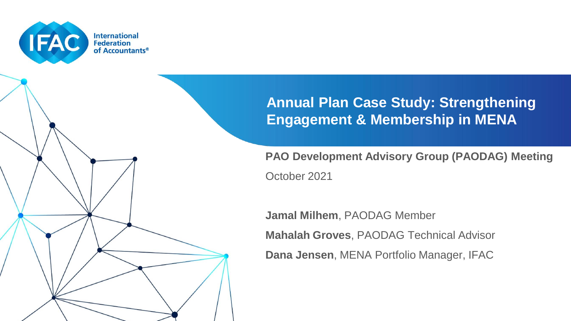

### **Annual Plan Case Study: Strengthening Engagement & Membership in MENA**

**PAO Development Advisory Group (PAODAG) Meeting** October 2021

**Jamal Milhem**, PAODAG Member

**Mahalah Groves**, PAODAG Technical Advisor

**Dana Jensen**, MENA Portfolio Manager, IFAC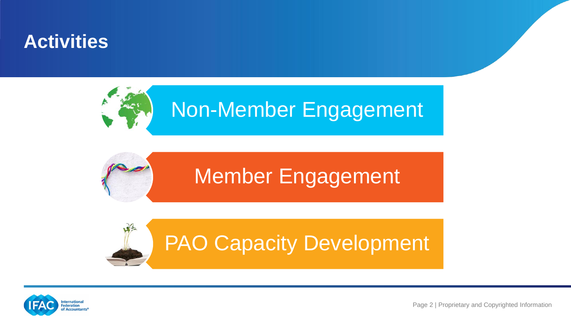## **Activities**







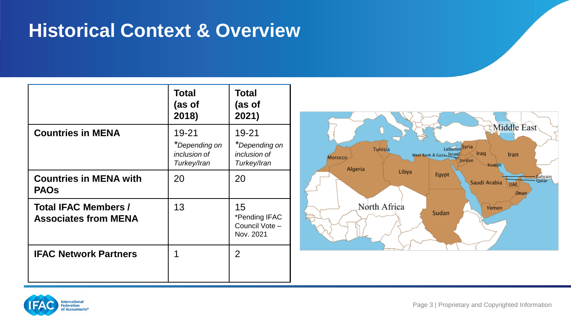# **Historical Context & Overview**

|                                                     | Total<br>(as of<br>2018)                              | <b>Total</b><br>(as of<br>2021)                       |
|-----------------------------------------------------|-------------------------------------------------------|-------------------------------------------------------|
| <b>Countries in MENA</b>                            | 19-21<br>*Depending on<br>inclusion of<br>Turkey/Iran | 19-21<br>*Depending on<br>inclusion of<br>Turkey/Iran |
| <b>Countries in MENA with</b><br><b>PAOs</b>        | 20                                                    | 20                                                    |
| Total IFAC Members /<br><b>Associates from MENA</b> | 13                                                    | 15<br>*Pending IFAC<br>Council Vote -<br>Nov. 2021    |
| <b>IFAC Network Partners</b>                        | 1                                                     | $\mathcal{P}$                                         |



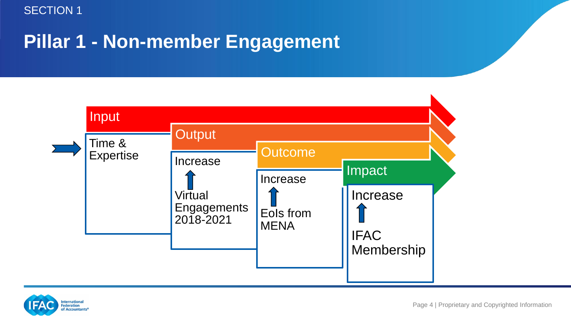# **Pillar 1 - Non-member Engagement**



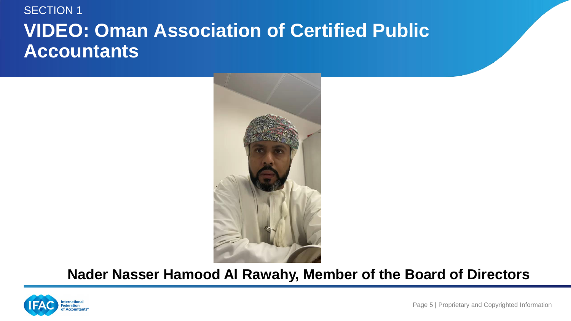### SECTION 1 **VIDEO: Oman Association of Certified Public Accountants**



### **Nader Nasser Hamood Al Rawahy, Member of the Board of Directors**

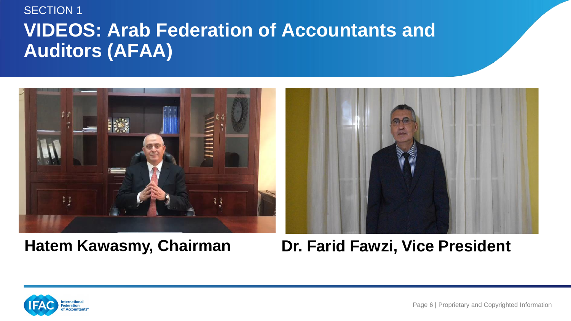### **VIDEOS: Arab Federation of Accountants and Auditors (AFAA)**  SECTION 1



### **Hatem Kawasmy, Chairman Dr. Farid Fawzi, Vice President**

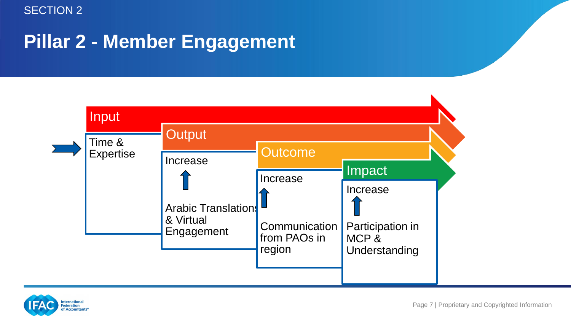# **Pillar 2 - Member Engagement**



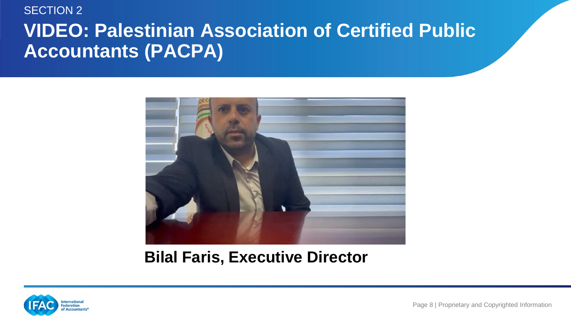### **VIDEO: Palestinian Association of Certified Public Accountants (PACPA)** SECTION 2



### **Bilal Faris, Executive Director**

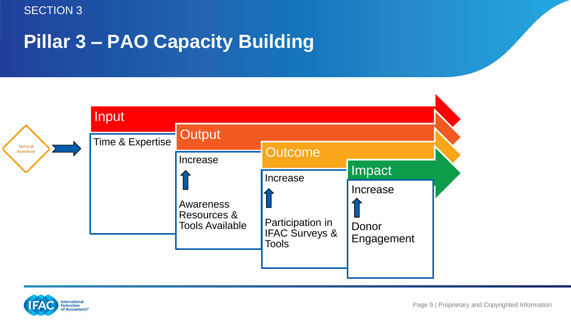# **Pillar 3 – PAO Capacity Building**



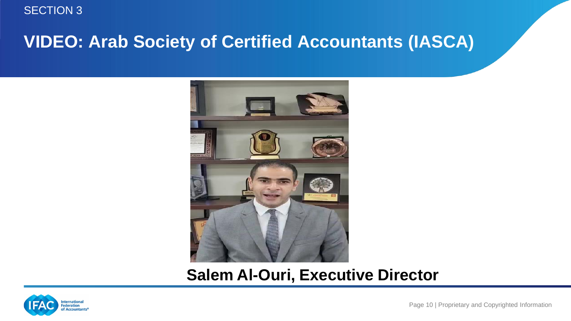### **VIDEO: Arab Society of Certified Accountants (IASCA)**



### **Salem Al-Ouri, Executive Director**



Page 10 | Proprietary and Copyrighted Information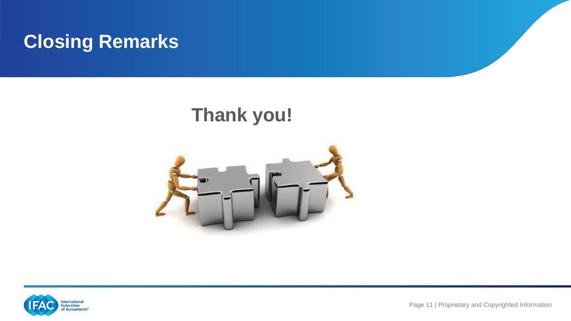

# **Thank you!**





Page 11 | Proprietary and Copyrighted Information